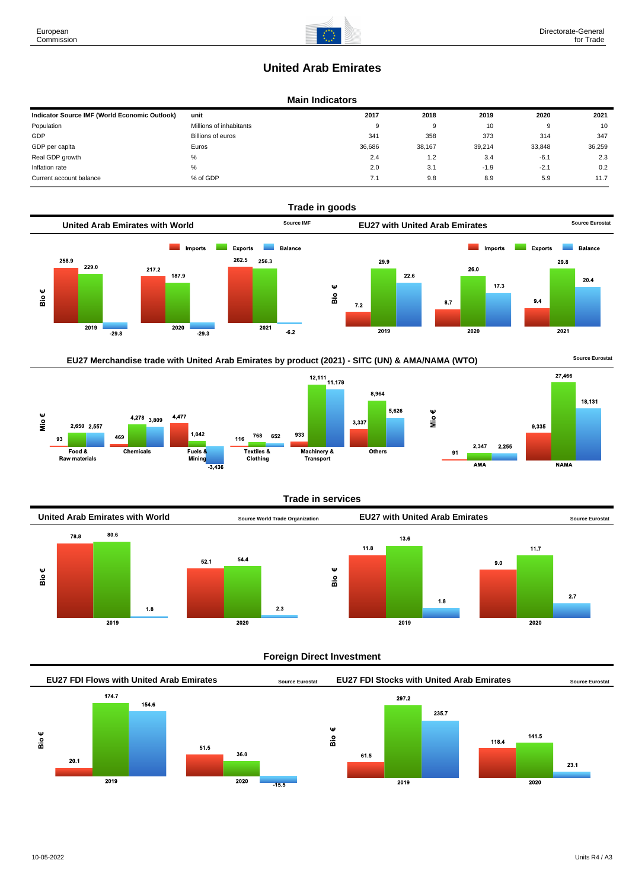# **United Arab Emirates**

## **Main Indicators**

| Indicator Source IMF (World Economic Outlook) | unit                    | 2017   | 2018   | 2019   | 2020   | 2021   |
|-----------------------------------------------|-------------------------|--------|--------|--------|--------|--------|
| Population                                    | Millions of inhabitants | 9      | 9      | 10     | 9      | 10     |
| GDP                                           | Billions of euros       | 341    | 358    | 373    | 314    | 347    |
| GDP per capita                                | Euros                   | 36.686 | 38.167 | 39.214 | 33.848 | 36,259 |
| Real GDP growth                               | %                       | 2.4    | 1.2    | 3.4    | $-6.1$ | 2.3    |
| Inflation rate                                | %                       | 2.0    | 3.1    | $-1.9$ | $-2.1$ | 0.2    |
| Current account balance                       | % of GDP                | 7.1    | 9.8    | 8.9    | 5.9    | 11.7   |









**Trade in services**



#### **Foreign Direct Investment**



European Commission